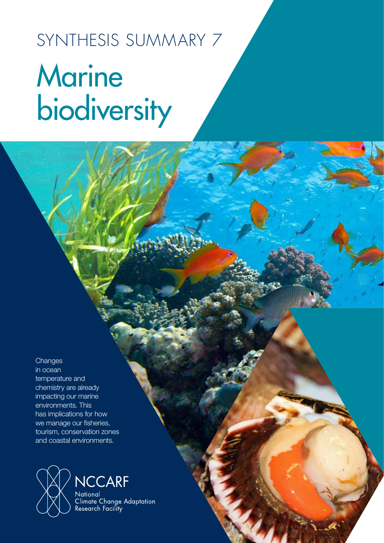# SYNTHESIS SUMMARY 7 **Marine** biodiversity

**Changes** 

in ocean temperature and chemistry are already impacting our marine environments. This has implications for how we manage our fisheries, tourism, conservation zones and coastal environments.



Climate Change Adaptation<br>Research Facility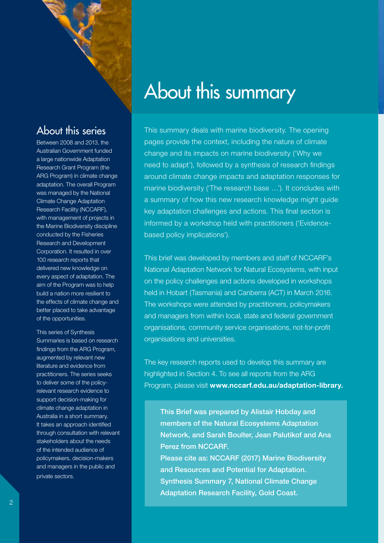

### About this series

Between 2008 and 2013, the Australian Government funded a large nationwide Adaptation Research Grant Program (the ARG Program) in climate change adaptation. The overall Program was managed by the National Climate Change Adaptation Research Facility (NCCARF), with management of projects in the Marine Biodiversity discipline conducted by the Fisheries Research and Development Corporation. It resulted in over 100 research reports that delivered new knowledge on every aspect of adaptation. The aim of the Program was to help build a nation more resilient to the effects of climate change and better placed to take advantage of the opportunities.

This series of Synthesis Summaries is based on research findings from the ARG Program, augmented by relevant new literature and evidence from practitioners. The series seeks to deliver some of the policyrelevant research evidence to support decision-making for climate change adaptation in Australia in a short summary. It takes an approach identified through consultation with relevant stakeholders about the needs of the intended audience of policymakers, decision-makers and managers in the public and private sectors.

### About this summary

This summary deals with marine biodiversity. The opening pages provide the context, including the nature of climate change and its impacts on marine biodiversity ('Why we need to adapt'), followed by a synthesis of research findings around climate change impacts and adaptation responses for marine biodiversity ('The research base …'). It concludes with a summary of how this new research knowledge might guide key adaptation challenges and actions. This final section is informed by a workshop held with practitioners ('Evidencebased policy implications').

This brief was developed by members and staff of NCCARF's National Adaptation Network for Natural Ecosystems, with input on the policy challenges and actions developed in workshops held in Hobart (Tasmania) and Canberra (ACT) in March 2016. The workshops were attended by practitioners, policymakers and managers from within local, state and federal government organisations, community service organisations, not-for-profit organisations and universities.

The key research reports used to develop this summary are highlighted in Section 4. To see all reports from the ARG Program, please visit www.nccarf.edu.au/adaptation-library.

This Brief was prepared by Alistair Hobday and members of the Natural Ecosystems Adaptation Network, and Sarah Boulter, Jean Palutikof and Ana Perez from NCCARF. Please cite as: NCCARF (2017) Marine Biodiversity and Resources and Potential for Adaptation. Synthesis Summary 7, National Climate Change Adaptation Research Facility, Gold Coast.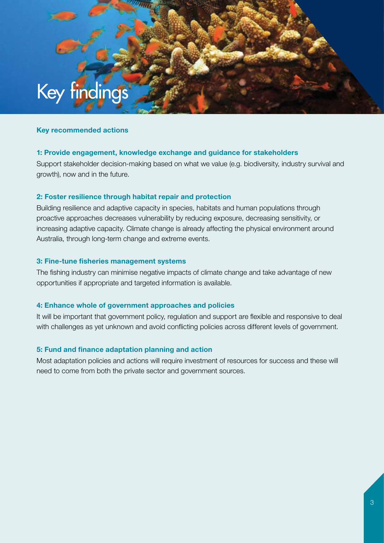

#### Key recommended actions

#### 1: Provide engagement, knowledge exchange and guidance for stakeholders

Support stakeholder decision-making based on what we value (e.g. biodiversity, industry survival and growth), now and in the future.

#### 2: Foster resilience through habitat repair and protection

Building resilience and adaptive capacity in species, habitats and human populations through proactive approaches decreases vulnerability by reducing exposure, decreasing sensitivity, or increasing adaptive capacity. Climate change is already affecting the physical environment around Australia, through long-term change and extreme events.

#### 3: Fine-tune fisheries management systems

The fishing industry can minimise negative impacts of climate change and take advantage of new opportunities if appropriate and targeted information is available.

#### 4: Enhance whole of government approaches and policies

It will be important that government policy, regulation and support are flexible and responsive to deal with challenges as yet unknown and avoid conflicting policies across different levels of government.

#### 5: Fund and finance adaptation planning and action

Most adaptation policies and actions will require investment of resources for success and these will need to come from both the private sector and government sources.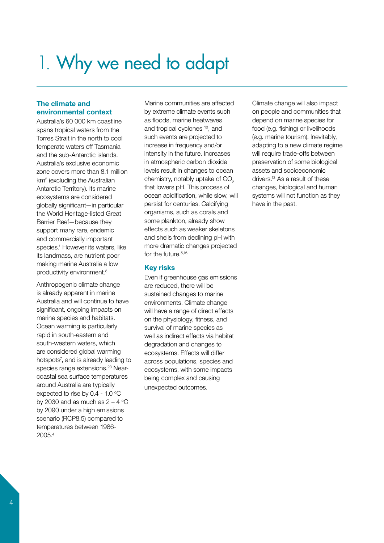## 1. Why we need to adapt

#### The climate and environmental context

Australia's 60 000 km coastline spans tropical waters from the Torres Strait in the north to cool temperate waters off Tasmania and the sub-Antarctic islands. Australia's exclusive economic zone covers more than 8.1 million km<sup>2</sup> (excluding the Australian Antarctic Territory). Its marine ecosystems are considered globally significant—in particular the World Heritage-listed Great Barrier Reef—because they support many rare, endemic and commercially important species.<sup>1</sup> However its waters, like its landmass, are nutrient poor making marine Australia a low productivity environment.8

Anthropogenic climate change is already apparent in marine Australia and will continue to have significant, ongoing impacts on marine species and habitats. Ocean warming is particularly rapid in south-eastern and south-western waters, which are considered global warming hotspots<sup>7</sup>, and is already leading to species range extensions.<sup>23</sup> Nearcoastal sea surface temperatures around Australia are typically expected to rise by 0.4 - 1.0  $\mathrm{^{\circ}C}$ by 2030 and as much as  $2 - 4$  °C by 2090 under a high emissions scenario (RCP8.5) compared to temperatures between 1986- 2005.4

Marine communities are affected by extreme climate events such as floods, marine heatwaves and tropical cyclones 10, and such events are projected to increase in frequency and/or intensity in the future. Increases in atmospheric carbon dioxide levels result in changes to ocean chemistry, notably uptake of CO<sub>2</sub> that lowers pH. This process of ocean acidification, while slow, will persist for centuries. Calcifying organisms, such as corals and some plankton, already show effects such as weaker skeletons and shells from declining pH with more dramatic changes projected for the future.<sup>5,16</sup>

#### Key risks

Even if greenhouse gas emissions are reduced, there will be sustained changes to marine environments. Climate change will have a range of direct effects on the physiology, fitness, and survival of marine species as well as indirect effects via habitat degradation and changes to ecosystems. Effects will differ across populations, species and ecosystems, with some impacts being complex and causing unexpected outcomes.

Climate change will also impact on people and communities that depend on marine species for food (e.g. fishing) or livelihoods (e.g. marine tourism). Inevitably, adapting to a new climate regime will require trade-offs between preservation of some biological assets and socioeconomic drivers.13 As a result of these changes, biological and human systems will not function as they have in the past.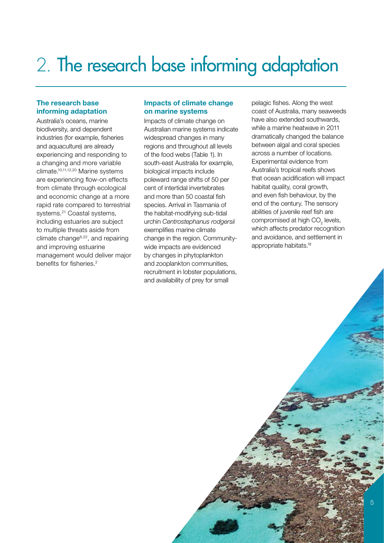### 2. The research base informing adaptation

#### The research base informing adaptation

Australia's oceans, marine biodiversity, and dependent industries (for example, fisheries and aquaculture) are already experiencing and responding to a changing and more variable climate.10,11,12,20 Marine systems are experiencing flow-on effects from climate through ecological and economic change at a more rapid rate compared to terrestrial systems.<sup>21</sup> Coastal systems, including estuaries are subject to multiple threats aside from climate change6,22, and repairing and improving estuarine management would deliver major benefits for fisheries.<sup>2</sup>

#### Impacts of climate change on marine systems

Impacts of climate change on Australian marine systems indicate widespread changes in many regions and throughout all levels of the food webs (Table 1). In south-east Australia for example, biological impacts include poleward range shifts of 50 per cent of intertidal invertebrates and more than 50 coastal fish species. Arrival in Tasmania of the habitat-modifying sub-tidal urchin *Centrostephanus rodgersii* exemplifies marine climate change in the region. Communitywide impacts are evidenced by changes in phytoplankton and zooplankton communities, recruitment in lobster populations, and availability of prey for small

pelagic fishes. Along the west coast of Australia, many seaweeds have also extended southwards, while a marine heatwave in 2011 dramatically changed the balance between algal and coral species across a number of locations. Experimental evidence from Australia's tropical reefs shows that ocean acidification will impact habitat quality, coral growth, and even fish behaviour, by the end of the century. The sensory abilities of juvenile reef fish are compromised at high  $CO<sub>2</sub>$  levels, which affects predator recognition and avoidance, and settlement in appropriate habitats.18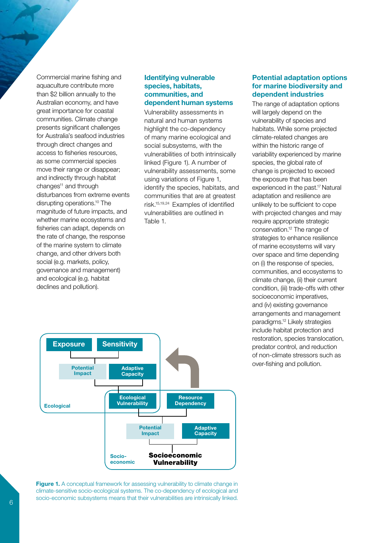Commercial marine fishing and aquaculture contribute more than \$2 billion annually to the Australian economy, and have great importance for coastal communities. Climate change presents significant challenges for Australia's seafood industries through direct changes and access to fisheries resources, as some commercial species move their range or disappear; and indirectly through habitat changes<sup>11</sup> and through disturbances from extreme events disrupting operations.10 The magnitude of future impacts, and whether marine ecosystems and fisheries can adapt, depends on the rate of change, the response of the marine system to climate change, and other drivers both social (e.g. markets, policy, governance and management) and ecological (e.g. habitat declines and pollution).

#### Identifying vulnerable species, habitats, communities, and dependent human systems

Vulnerability assessments in natural and human systems highlight the co-dependency of many marine ecological and social subsystems, with the vulnerabilities of both intrinsically linked (Figure 1). A number of vulnerability assessments, some using variations of Figure 1, identify the species, habitats, and communities that are at greatest risk.15,19,24 Examples of identified vulnerabilities are outlined in Table 1.

#### Potential adaptation options for marine biodiversity and dependent industries

The range of adaptation options will largely depend on the vulnerability of species and habitats. While some projected climate-related changes are within the historic range of variability experienced by marine species, the global rate of change is projected to exceed the exposure that has been experienced in the past.<sup>17</sup> Natural adaptation and resilience are unlikely to be sufficient to cope with projected changes and may require appropriate strategic conservation.12 The range of strategies to enhance resilience of marine ecosystems will vary over space and time depending on (i) the response of species, communities, and ecosystems to climate change, (ii) their current condition, (iii) trade-offs with other socioeconomic imperatives, and (iv) existing governance arrangements and management paradigms.12 Likely strategies include habitat protection and restoration, species translocation, predator control, and reduction of non-climate stressors such as over-fishing and pollution.



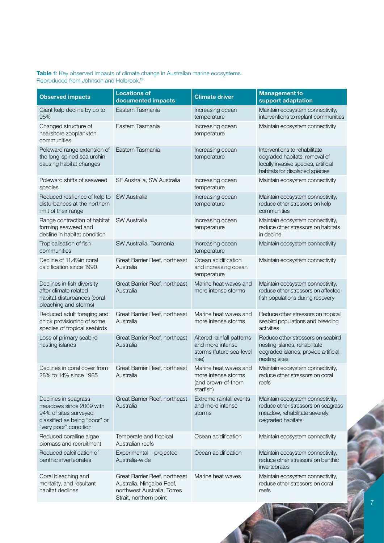#### Table 1: Key observed impacts of climate change in Australian marine ecosystems. Reproduced from Johnson and Holbrook.<sup>12</sup>

| <b>Observed impacts</b>                                                                                                            | <b>Locations of</b><br>documented impacts                                                                           | <b>Climate driver</b>                                                              | <b>Management to</b><br>support adaptation                                                                                               |
|------------------------------------------------------------------------------------------------------------------------------------|---------------------------------------------------------------------------------------------------------------------|------------------------------------------------------------------------------------|------------------------------------------------------------------------------------------------------------------------------------------|
| Giant kelp decline by up to<br>95%                                                                                                 | Eastern Tasmania                                                                                                    | Increasing ocean<br>temperature                                                    | Maintain ecosystem connectivity,<br>interventions to replant communities                                                                 |
| Changed structure of<br>nearshore zooplankton<br>communities                                                                       | Eastern Tasmania                                                                                                    | Increasing ocean<br>temperature                                                    | Maintain ecosystem connectivity                                                                                                          |
| Poleward range extension of<br>the long-spined sea urchin<br>causing habitat changes                                               | Eastern Tasmania                                                                                                    | Increasing ocean<br>temperature                                                    | Interventions to rehabilitate<br>degraded habitats, removal of<br>locally invasive species, artificial<br>habitats for displaced species |
| Poleward shifts of seaweed<br>species                                                                                              | SE Australia, SW Australia                                                                                          | Increasing ocean<br>temperature                                                    | Maintain ecosystem connectivity                                                                                                          |
| Reduced resilience of kelp to<br>disturbances at the northern<br>limit of their range                                              | <b>SW Australia</b>                                                                                                 | Increasing ocean<br>temperature                                                    | Maintain ecosystem connectivity,<br>reduce other stressors on kelp<br>communities                                                        |
| Range contraction of habitat<br>forming seaweed and<br>decline in habitat condition                                                | <b>SW Australia</b>                                                                                                 | Increasing ocean<br>temperature                                                    | Maintain ecosystem connectivity,<br>reduce other stressors on habitats<br>in decline                                                     |
| Tropicalisation of fish<br>communities                                                                                             | SW Australia, Tasmania                                                                                              | Increasing ocean<br>temperature                                                    | Maintain ecosystem connectivity                                                                                                          |
| Decline of 11.4% in coral<br>calcification since 1990                                                                              | Great Barrier Reef, northeast<br>Australia                                                                          | Ocean acidification<br>and increasing ocean<br>temperature                         | Maintain ecosystem connectivity                                                                                                          |
| Declines in fish diversity<br>after climate related<br>habitat disturbances (coral<br>bleaching and storms)                        | Great Barrier Reef, northeast<br>Australia                                                                          | Marine heat waves and<br>more intense storms                                       | Maintain ecosystem connectivity,<br>reduce other stressors on affected<br>fish populations during recovery                               |
| Reduced adult foraging and<br>chick provisioning of some<br>species of tropical seabirds                                           | Great Barrier Reef, northeast<br>Australia                                                                          | Marine heat waves and<br>more intense storms                                       | Reduce other stressors on tropical<br>seabird populations and breeding<br>activities                                                     |
| Loss of primary seabird<br>nesting islands                                                                                         | Great Barrier Reef, northeast<br>Australia                                                                          | Altered rainfall patterns<br>and more intense<br>storms (future sea-level<br>rise) | Reduce other stressors on seabird<br>nesting islands, rehabilitate<br>degraded islands, provide artificial<br>nesting sites              |
| Declines in coral cover from<br>28% to 14% since 1985                                                                              | Great Barrier Reef, northeast<br>Australia                                                                          | Marine heat waves and<br>more intense storms<br>(and crown-of-thorn<br>starfish)   | Maintain ecosystem connectivity,<br>reduce other stressors on coral<br>reefs                                                             |
| Declines in seagrass<br>meadows since 2009 with<br>94% of sites surveyed<br>classified as being "poor" or<br>"very poor" condition | Great Barrier Reef, northeast<br>Australia                                                                          | Extreme rainfall events<br>and more intense<br>storms                              | Maintain ecosystem connectivity,<br>reduce other stressors on seagrass<br>meadow, rehabilitate severely<br>degraded habitats             |
| Reduced coralline algae<br>biomass and recruitment                                                                                 | Temperate and tropical<br>Australian reefs                                                                          | Ocean acidification                                                                | Maintain ecosystem connectivity                                                                                                          |
| Reduced calcification of<br>benthic invertebrates                                                                                  | Experimental - projected<br>Australia-wide                                                                          | Ocean acidification                                                                | Maintain ecosystem connectivity,<br>reduce other stressors on benthic<br>invertebrates                                                   |
| Coral bleaching and<br>mortality, and resultant<br>habitat declines                                                                | Great Barrier Reef, northeast<br>Australia, Ningaloo Reef,<br>northwest Australia, Torres<br>Strait, northern point | Marine heat waves                                                                  | Maintain ecosystem connectivity,<br>reduce other stressors on coral<br>reefs                                                             |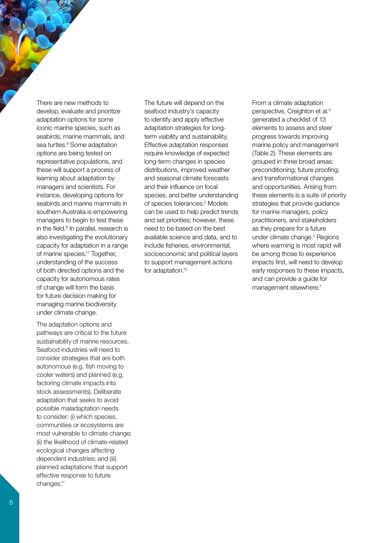There are new methods to develop, evaluate and prioritize adaptation options for some iconic marine species, such as seabirds, marine mammals, and sea turtles.<sup>9</sup> Some adaptation options are being tested on representative populations, and these will support a process of learning about adaptation by managers and scientists. For instance, developing options for seabirds and marine mammals in southern Australia is empowering managers to begin to test these in the field.<sup>9</sup> In parallel, research is also investigating the evolutionary capacity for adaptation in a range of marine species.17 Together, understanding of the success of both directed options and the capacity for autonomous rates of change will form the basis for future decision making for managing marine biodiversity under climate change.

The adaptation options and pathways are critical to the future sustainability of marine resources. Seafood industries will need to consider strategies that are both autonomous (e.g. fish moving to cooler waters) and planned (e.g. factoring climate impacts into stock assessments). Deliberate adaptation that seeks to avoid possible maladaptation needs to consider: (i) which species, communities or ecosystems are most vulnerable to climate change; (ii) the likelihood of climate-related ecological changes affecting dependent industries; and (iii) planned adaptations that support effective response to future changes.<sup>11</sup>

The future will depend on the seafood industry's capacity to identify and apply effective adaptation strategies for longterm viability and sustainability. Effective adaptation responses require knowledge of expected long-term changes in species distributions, improved weather and seasonal climate forecasts and their influence on focal species, and better understanding of species tolerances.3 Models can be used to help predict trends and set priorities; however, these need to be based on the best available science and data, and to include fisheries, environmental, socioeconomic and political layers to support management actions for adaptation.<sup>13</sup>

From a climate adaptation perspective, Creighton et al.3 generated a checklist of 13 elements to assess and steer progress towards improving marine policy and management (Table 2). These elements are grouped in three broad areas: preconditioning; future proofing; and transformational changes and opportunities. Arising from these elements is a suite of priority strategies that provide guidance for marine managers, policy practitioners, and stakeholders as they prepare for a future under climate change.3 Regions where warming is most rapid will be among those to experience impacts first, will need to develop early responses to these impacts, and can provide a guide for management elsewhere.<sup>7</sup>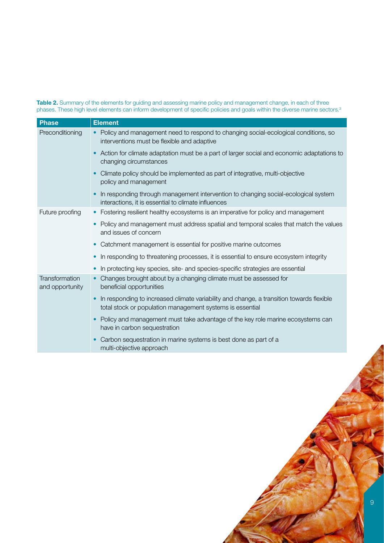Table 2. Summary of the elements for guiding and assessing marine policy and management change, in each of three phases. These high level elements can inform development of specific policies and goals within the diverse marine sectors.<sup>3</sup>

| <b>Phase</b>                             | <b>Element</b>                                                                                                                                        |  |  |
|------------------------------------------|-------------------------------------------------------------------------------------------------------------------------------------------------------|--|--|
| Preconditioning                          | • Policy and management need to respond to changing social-ecological conditions, so<br>interventions must be flexible and adaptive                   |  |  |
|                                          | Action for climate adaptation must be a part of larger social and economic adaptations to<br>changing circumstances                                   |  |  |
|                                          | Climate policy should be implemented as part of integrative, multi-objective<br>policy and management                                                 |  |  |
|                                          | In responding through management intervention to changing social-ecological system<br>interactions, it is essential to climate influences             |  |  |
| Future proofing                          | Fostering resilient healthy ecosystems is an imperative for policy and management                                                                     |  |  |
|                                          | Policy and management must address spatial and temporal scales that match the values<br>and issues of concern                                         |  |  |
|                                          | Catchment management is essential for positive marine outcomes                                                                                        |  |  |
|                                          | In responding to threatening processes, it is essential to ensure ecosystem integrity                                                                 |  |  |
|                                          | In protecting key species, site- and species-specific strategies are essential                                                                        |  |  |
| <b>Transformation</b><br>and opportunity | Changes brought about by a changing climate must be assessed for<br>beneficial opportunities                                                          |  |  |
|                                          | In responding to increased climate variability and change, a transition towards flexible<br>total stock or population management systems is essential |  |  |
|                                          | Policy and management must take advantage of the key role marine ecosystems can<br>have in carbon sequestration                                       |  |  |
|                                          | Carbon sequestration in marine systems is best done as part of a<br>multi-objective approach                                                          |  |  |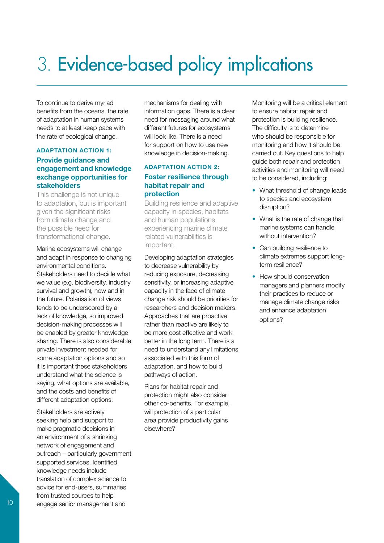# 3. Evidence-based policy implications

To continue to derive myriad benefits from the oceans, the rate of adaptation in human systems needs to at least keep pace with the rate of ecological change.

#### ADAPTATION ACTION 1:

#### Provide guidance and engagement and knowledge exchange opportunities for stakeholders

This challenge is not unique to adaptation, but is important given the significant risks from climate change and the possible need for transformational change.

Marine ecosystems will change and adapt in response to changing environmental conditions. Stakeholders need to decide what we value (e.g. biodiversity, industry survival and growth), now and in the future. Polarisation of views tends to be underscored by a lack of knowledge, so improved decision-making processes will be enabled by greater knowledge sharing. There is also considerable private investment needed for some adaptation options and so it is important these stakeholders understand what the science is saying, what options are available, and the costs and benefits of different adaptation options.

Stakeholders are actively seeking help and support to make pragmatic decisions in an environment of a shrinking network of engagement and outreach – particularly government supported services. Identified knowledge needs include translation of complex science to advice for end-users, summaries from trusted sources to help engage senior management and

mechanisms for dealing with information gaps. There is a clear need for messaging around what different futures for ecosystems will look like. There is a need for support on how to use new knowledge in decision-making.

#### ADAPTATION ACTION 2: Foster resilience through habitat repair and protection

Building resilience and adaptive capacity in species, habitats and human populations experiencing marine climate related vulnerabilities is important.

Developing adaptation strategies to decrease vulnerability by reducing exposure, decreasing sensitivity, or increasing adaptive capacity in the face of climate change risk should be priorities for researchers and decision makers. Approaches that are proactive rather than reactive are likely to be more cost effective and work better in the long term. There is a need to understand any limitations associated with this form of adaptation, and how to build pathways of action.

Plans for habitat repair and protection might also consider other co-benefits. For example, will protection of a particular area provide productivity gains elsewhere?

Monitoring will be a critical element to ensure habitat repair and protection is building resilience. The difficulty is to determine who should be responsible for monitoring and how it should be carried out. Key questions to help guide both repair and protection activities and monitoring will need to be considered, including:

- What threshold of change leads to species and ecosystem disruption?
- What is the rate of change that marine systems can handle without intervention?
- Can building resilience to climate extremes support longterm resilience?
- How should conservation managers and planners modify their practices to reduce or manage climate change risks and enhance adaptation options?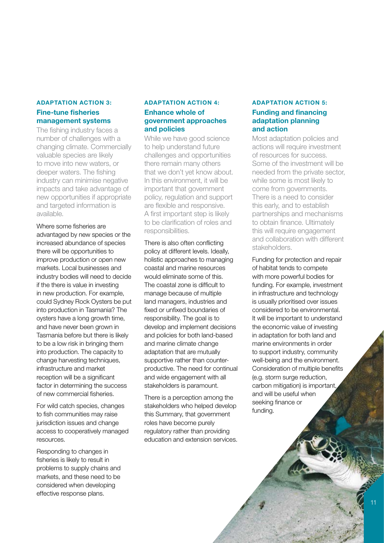#### ADAPTATION ACTION 3: Fine-tune fisheries management systems

The fishing industry faces a number of challenges with a changing climate. Commercially valuable species are likely to move into new waters, or deeper waters. The fishing industry can minimise negative impacts and take advantage of new opportunities if appropriate and targeted information is available.

Where some fisheries are advantaged by new species or the increased abundance of species there will be opportunities to improve production or open new markets. Local businesses and industry bodies will need to decide if the there is value in investing in new production. For example, could Sydney Rock Oysters be put into production in Tasmania? The oysters have a long growth time. and have never been grown in Tasmania before but there is likely to be a low risk in bringing them into production. The capacity to change harvesting techniques, infrastructure and market reception will be a significant factor in determining the success of new commercial fisheries.

For wild catch species, changes to fish communities may raise jurisdiction issues and change access to cooperatively managed resources.

Responding to changes in fisheries is likely to result in problems to supply chains and markets, and these need to be considered when developing effective response plans.

#### ADAPTATION ACTION 4: Enhance whole of government approaches and policies

While we have good science to help understand future challenges and opportunities there remain many others that we don't yet know about. In this environment, it will be important that government policy, regulation and support are flexible and responsive. A first important step is likely to be clarification of roles and responsibilities.

There is also often conflicting policy at different levels. Ideally, holistic approaches to managing coastal and marine resources would eliminate some of this. The coastal zone is difficult to manage because of multiple land managers, industries and fixed or unfixed boundaries of responsibility. The goal is to develop and implement decisions and policies for both land-based and marine climate change adaptation that are mutually supportive rather than counterproductive. The need for continual and wide engagement with all stakeholders is paramount.

There is a perception among the stakeholders who helped develop this Summary, that government roles have become purely regulatory rather than providing education and extension services.

#### ADAPTATION ACTION 5: Funding and financing adaptation planning and action

Most adaptation policies and actions will require investment of resources for success. Some of the investment will be needed from the private sector, while some is most likely to come from governments. There is a need to consider this early, and to establish partnerships and mechanisms to obtain finance. Ultimately this will require engagement and collaboration with different stakeholders.

Funding for protection and repair of habitat tends to compete with more powerful bodies for funding. For example, investment in infrastructure and technology is usually prioritised over issues considered to be environmental. It will be important to understand the economic value of investing in adaptation for both land and marine environments in order to support industry, community well-being and the environment. Consideration of multiple benefits (e.g. storm surge reduction, carbon mitigation) is important, and will be useful when seeking finance or funding.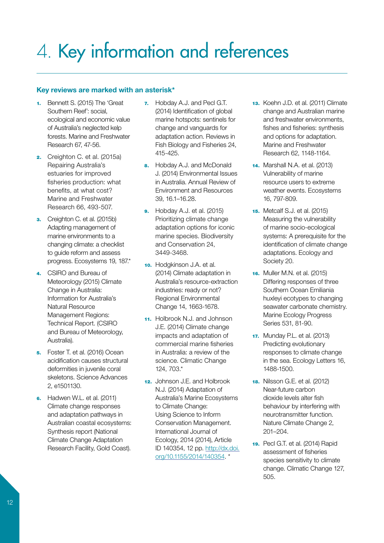### 4. Key information and references

#### Key reviews are marked with an asterisk\*

- 1. Bennett S. (2015) The 'Great Southern Reef': social, ecological and economic value of Australia's neglected kelp forests. Marine and Freshwater Research 67, 47-56.
- 2. Creighton C. et al. (2015a) Repairing Australia's estuaries for improved fisheries production: what benefits, at what cost? Marine and Freshwater Research 66, 493-507.
- 3. Creighton C. et al. (2015b) Adapting management of marine environments to a changing climate: a checklist to guide reform and assess progress. Ecosystems 19, 187.\*
- 4. CSIRO and Bureau of Meteorology (2015) Climate Change in Australia: Information for Australia's Natural Resource Management Regions: Technical Report. (CSIRO and Bureau of Meteorology, Australia).
- 5. Foster T. et al. (2016) Ocean acidification causes structural deformities in juvenile coral skeletons. Science Advances 2, e1501130.
- 6. Hadwen W.L. et al. (2011) Climate change responses and adaptation pathways in Australian coastal ecosystems: Synthesis report (National Climate Change Adaptation Research Facility, Gold Coast).
- 7. Hobday A.J. and Pecl G.T. (2014) Identification of global marine hotspots: sentinels for change and vanguards for adaptation action. Reviews in Fish Biology and Fisheries 24, 415-425.
- 8. Hobday A.J. and McDonald J. (2014) Environmental Issues in Australia. Annual Review of Environment and Resources 39, 16.1–16.28.
- **9.** Hobday A.J. et al. (2015) Prioritizing climate change adaptation options for iconic marine species. Biodiversity and Conservation 24, 3449-3468.
- 10. Hodgkinson J.A. et al. (2014) Climate adaptation in Australia's resource-extraction industries: ready or not? Regional Environmental Change 14, 1663-1678.
- 11. Holbrook N.J. and Johnson J.E. (2014) Climate change impacts and adaptation of commercial marine fisheries in Australia: a review of the science. Climatic Change 124, 703.\*
- 12. Johnson J.E. and Holbrook N.J. (2014) Adaptation of Australia's Marine Ecosystems to Climate Change: Using Science to Inform Conservation Management. International Journal of Ecology, 2014 (2014), Article ID 140354, 12 pp. [http://dx.doi.](http://dx.doi.org/10.1155/2014/140354) [org/10.1155/2014/140354](http://dx.doi.org/10.1155/2014/140354). \*
- 13. Koehn J.D. et al. (2011) Climate change and Australian marine and freshwater environments, fishes and fisheries: synthesis and options for adaptation. Marine and Freshwater Research 62, 1148-1164.
- 14. Marshall N.A. et al. (2013) Vulnerability of marine resource users to extreme weather events. Ecosystems 16, 797-809.
- 15. Metcalf S.J. et al. (2015) Measuring the vulnerability of marine socio-ecological systems: A prerequisite for the identification of climate change adaptations. Ecology and Society 20.
- 16. Muller M.N. et al. (2015) Differing responses of three Southern Ocean Emiliania huxleyi ecotypes to changing seawater carbonate chemistry. Marine Ecology Progress Series 531, 81-90.
- 17. Munday P.L. et al. (2013) Predicting evolutionary responses to climate change in the sea. Ecology Letters 16, 1488-1500.
- 18. Nilsson G.E. et al. (2012) Near-future carbon dioxide levels alter fish behaviour by interfering with neurotransmitter function. Nature Climate Change 2, 201–204.
- 19. Pecl G.T. et al. (2014) Rapid assessment of fisheries species sensitivity to climate change. Climatic Change 127, 505.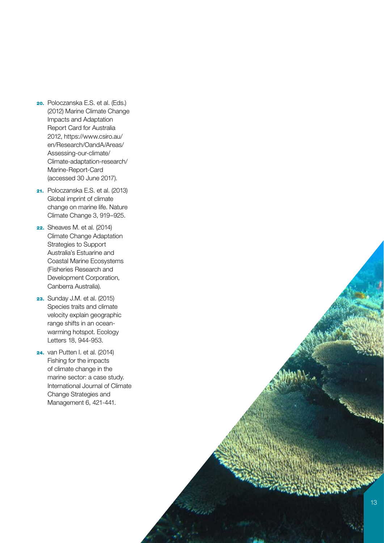- 20. Poloczanska E.S. et al. (Eds.) (2012) Marine Climate Change Impacts and Adaptation Report Card for Australia 2012, [https://www.csiro.au/](https://www.csiro.au/en/Research/OandA/Areas/Assessing-our-climate/Climate-adaptation-research/Marine-Report-Card) [en/Research/OandA/Areas/](https://www.csiro.au/en/Research/OandA/Areas/Assessing-our-climate/Climate-adaptation-research/Marine-Report-Card) [Assessing-our-climate/](https://www.csiro.au/en/Research/OandA/Areas/Assessing-our-climate/Climate-adaptation-research/Marine-Report-Card) [Climate-adaptation-research/](https://www.csiro.au/en/Research/OandA/Areas/Assessing-our-climate/Climate-adaptation-research/Marine-Report-Card) [Marine-Report-Card](https://www.csiro.au/en/Research/OandA/Areas/Assessing-our-climate/Climate-adaptation-research/Marine-Report-Card)  (accessed 30 June 2017).
- 21. Poloczanska E.S. et al. (2013) Global imprint of climate change on marine life. Nature Climate Change 3, 919–925.
- 22. Sheaves M. et al. (2014) Climate Change Adaptation Strategies to Support Australia's Estuarine and Coastal Marine Ecosystems (Fisheries Research and Development Corporation, Canberra Australia).
- **23.** Sunday J.M. et al. (2015) Species traits and climate velocity explain geographic range shifts in an oceanwarming hotspot. Ecology Letters 18, 944-953.
- 24. van Putten I. et al. (2014) Fishing for the impacts of climate change in the marine sector: a case study. International Journal of Climate Change Strategies and Management 6, 421-441.

The Indian !